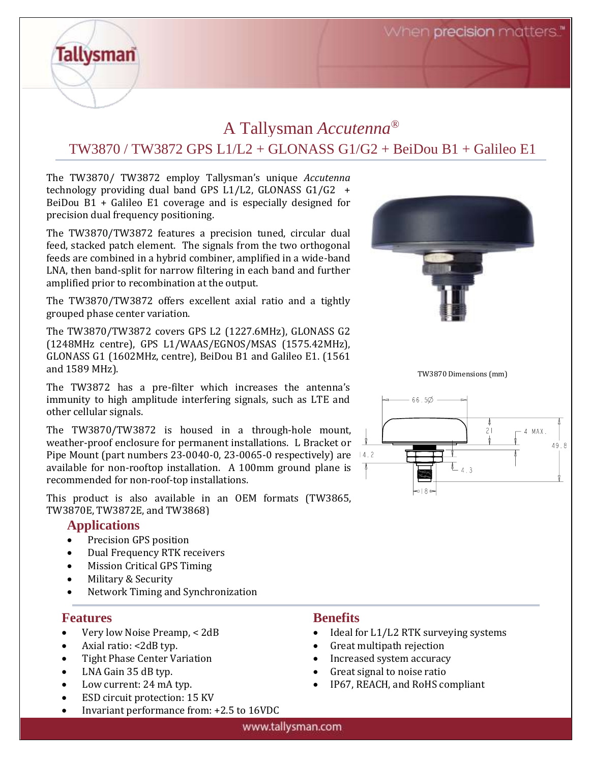When **precision** matters.

# A Tallysman *Accutenna®* TW3870 / TW3872 GPS L1/L2 + GLONASS G1/G2 + BeiDou B1 + Galileo E1

The TW3870/ TW3872 employ Tallysman's unique *Accutenna* technology providing dual band GPS L1/L2, GLONASS G1/G2 + BeiDou B1 + Galileo E1 coverage and is especially designed for precision dual frequency positioning.

The TW3870/TW3872 features a precision tuned, circular dual feed, stacked patch element. The signals from the two orthogonal feeds are combined in a hybrid combiner, amplified in a wide-band LNA, then band-split for narrow filtering in each band and further amplified prior to recombination at the output.

The TW3870/TW3872 offers excellent axial ratio and a tightly grouped phase center variation.

The TW3870/TW3872 covers GPS L2 (1227.6MHz), GLONASS G2 (1248MHz centre), GPS L1/WAAS/EGNOS/MSAS (1575.42MHz), GLONASS G1 (1602MHz, centre), BeiDou B1 and Galileo E1. (1561 and 1589 MHz).

The TW3872 has a pre-filter which increases the antenna's immunity to high amplitude interfering signals, such as LTE and other cellular signals.

The TW3870/TW3872 is housed in a through-hole mount, weather-proof enclosure for permanent installations. L Bracket or Pipe Mount (part numbers  $23-0040-0$ ,  $23-0065-0$  respectively) are  $14.2$ available for non-rooftop installation. A 100mm ground plane is recommended for non-roof-top installations.

This product is also available in an OEM formats (TW3865, TW3870E, TW3872E, and TW3868)

#### **Applications**

**Tallysman** 

- Precision GPS position
- Dual Frequency RTK receivers
- Mission Critical GPS Timing
- Military & Security
- Network Timing and Synchronization

#### **Features**

- Very low Noise Preamp, < 2dB
- Axial ratio: <2dB typ.
- Tight Phase Center Variation
- LNA Gain 35 dB typ.
- Low current: 24 mA typ.
- ESD circuit protection: 15 KV
- Invariant performance from: +2.5 to 16VDC

### **Benefits**

- Ideal for L1/L2 RTK surveying systems
- Great multipath rejection
- Increased system accuracy
- Great signal to noise ratio
- IP67, REACH, and RoHS compliant







#### www.tallysman.com